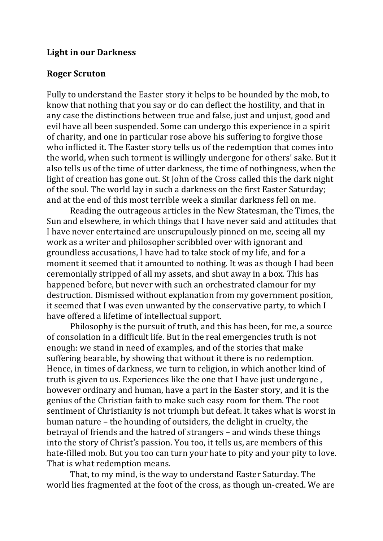## **Light in our Darkness**

## **Roger Scruton**

Fully to understand the Easter story it helps to be hounded by the mob, to know that nothing that you say or do can deflect the hostility, and that in any case the distinctions between true and false, just and unjust, good and evil have all been suspended. Some can undergo this experience in a spirit of charity, and one in particular rose above his suffering to forgive those who inflicted it. The Easter story tells us of the redemption that comes into the world, when such torment is willingly undergone for others' sake. But it also tells us of the time of utter darkness, the time of nothingness, when the light of creation has gone out. St John of the Cross called this the dark night of the soul. The world lay in such a darkness on the first Easter Saturday; and at the end of this most terrible week a similar darkness fell on me.

Reading the outrageous articles in the New Statesman, the Times, the Sun and elsewhere, in which things that I have never said and attitudes that I have never entertained are unscrupulously pinned on me, seeing all my work as a writer and philosopher scribbled over with ignorant and groundless accusations, I have had to take stock of my life, and for a moment it seemed that it amounted to nothing. It was as though I had been ceremonially stripped of all my assets, and shut away in a box. This has happened before, but never with such an orchestrated clamour for my destruction. Dismissed without explanation from my government position, it seemed that I was even unwanted by the conservative party, to which I have offered a lifetime of intellectual support.

Philosophy is the pursuit of truth, and this has been, for me, a source of consolation in a difficult life. But in the real emergencies truth is not enough: we stand in need of examples, and of the stories that make suffering bearable, by showing that without it there is no redemption. Hence, in times of darkness, we turn to religion, in which another kind of truth is given to us. Experiences like the one that I have just undergone, however ordinary and human, have a part in the Easter story, and it is the genius of the Christian faith to make such easy room for them. The root sentiment of Christianity is not triumph but defeat. It takes what is worst in human nature – the hounding of outsiders, the delight in cruelty, the betrayal of friends and the hatred of strangers – and winds these things into the story of Christ's passion. You too, it tells us, are members of this hate-filled mob. But you too can turn your hate to pity and your pity to love. That is what redemption means.

That, to my mind, is the way to understand Easter Saturday. The world lies fragmented at the foot of the cross, as though un-created. We are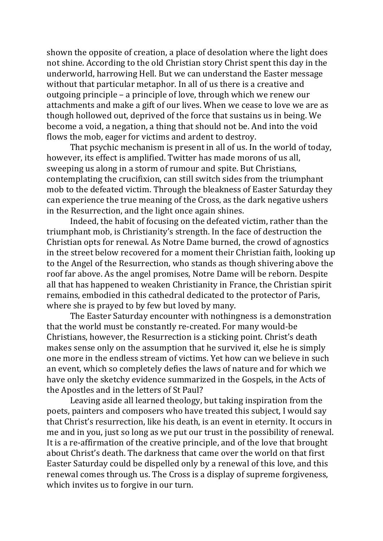shown the opposite of creation, a place of desolation where the light does not shine. According to the old Christian story Christ spent this day in the underworld, harrowing Hell. But we can understand the Easter message without that particular metaphor. In all of us there is a creative and outgoing principle – a principle of love, through which we renew our attachments and make a gift of our lives. When we cease to love we are as though hollowed out, deprived of the force that sustains us in being. We become a void, a negation, a thing that should not be. And into the void flows the mob, eager for victims and ardent to destroy.

That psychic mechanism is present in all of us. In the world of today, however, its effect is amplified. Twitter has made morons of us all, sweeping us along in a storm of rumour and spite. But Christians, contemplating the crucifixion, can still switch sides from the triumphant mob to the defeated victim. Through the bleakness of Easter Saturday they can experience the true meaning of the Cross, as the dark negative ushers in the Resurrection, and the light once again shines.

Indeed, the habit of focusing on the defeated victim, rather than the triumphant mob, is Christianity's strength. In the face of destruction the Christian opts for renewal. As Notre Dame burned, the crowd of agnostics in the street below recovered for a moment their Christian faith, looking up to the Angel of the Resurrection, who stands as though shivering above the roof far above. As the angel promises, Notre Dame will be reborn. Despite all that has happened to weaken Christianity in France, the Christian spirit remains, embodied in this cathedral dedicated to the protector of Paris, where she is prayed to by few but loved by many.

The Easter Saturday encounter with nothingness is a demonstration that the world must be constantly re-created. For many would-be Christians, however, the Resurrection is a sticking point. Christ's death makes sense only on the assumption that he survived it, else he is simply one more in the endless stream of victims. Yet how can we believe in such an event, which so completely defies the laws of nature and for which we have only the sketchy evidence summarized in the Gospels, in the Acts of the Apostles and in the letters of St Paul?

Leaving aside all learned theology, but taking inspiration from the poets, painters and composers who have treated this subject. I would say that Christ's resurrection, like his death, is an event in eternity. It occurs in me and in you, just so long as we put our trust in the possibility of renewal. It is a re-affirmation of the creative principle, and of the love that brought about Christ's death. The darkness that came over the world on that first Easter Saturday could be dispelled only by a renewal of this love, and this renewal comes through us. The Cross is a display of supreme forgiveness, which invites us to forgive in our turn.